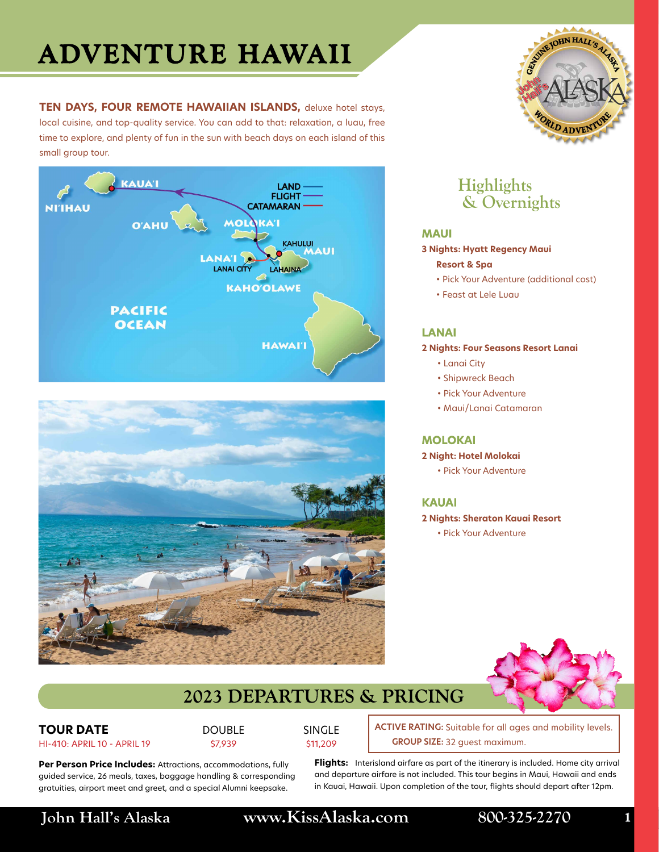# **ADVENTURE HAWAII**

**TEN DAYS, FOUR REMOTE HAWAIIAN ISLANDS,** deluxe hotel stays, local cuisine, and top-quality service. You can add to that: relaxation, a luau, free time to explore, and plenty of fun in the sun with beach days on each island of this small group tour.







## **Highlights & Overnights**

### **MAUI**

**3 Nights: Hyatt Regency Maui**

### **Resort & Spa**

- Pick Your Adventure (additional cost)
- Feast at Lele Luau

### **LANAI**

**2 Nights: Four Seasons Resort Lanai**

- Lanai City
- Shipwreck Beach
- Pick Your Adventure
- Maui/Lanai Catamaran

### **MOLOKAI**

### **2 Night: Hotel Molokai**

• Pick Your Adventure

### **KAUAI**

- **2 Nights: Sheraton Kauai Resort**
	- Pick Your Adventure



## **2023 DEPARTURES & PRICING**

**TOUR DATE** HI-410: APRIL 10 - APRIL 19 DOUBLE \$7,939

SINGLE \$11,209

**ACTIVE RATING:** Suitable for all ages and mobility levels. 32 guest maximum. **GROUP SIZE:**

Per Person Price Includes: Attractions, accommodations, fully guided service, 26 meals, taxes, baggage handling & corresponding gratuities, airport meet and greet, and a special Alumni keepsake.

**Flights:** Interisland airfare as part of the itinerary is included. Home city arrival and departure airfare is not included. This tour begins in Maui, Hawaii and ends in Kauai, Hawaii. Upon completion of the tour, flights should depart after 12pm.

**John Hall's Alaska www.KissAlaska.com 800-325-2270 1**